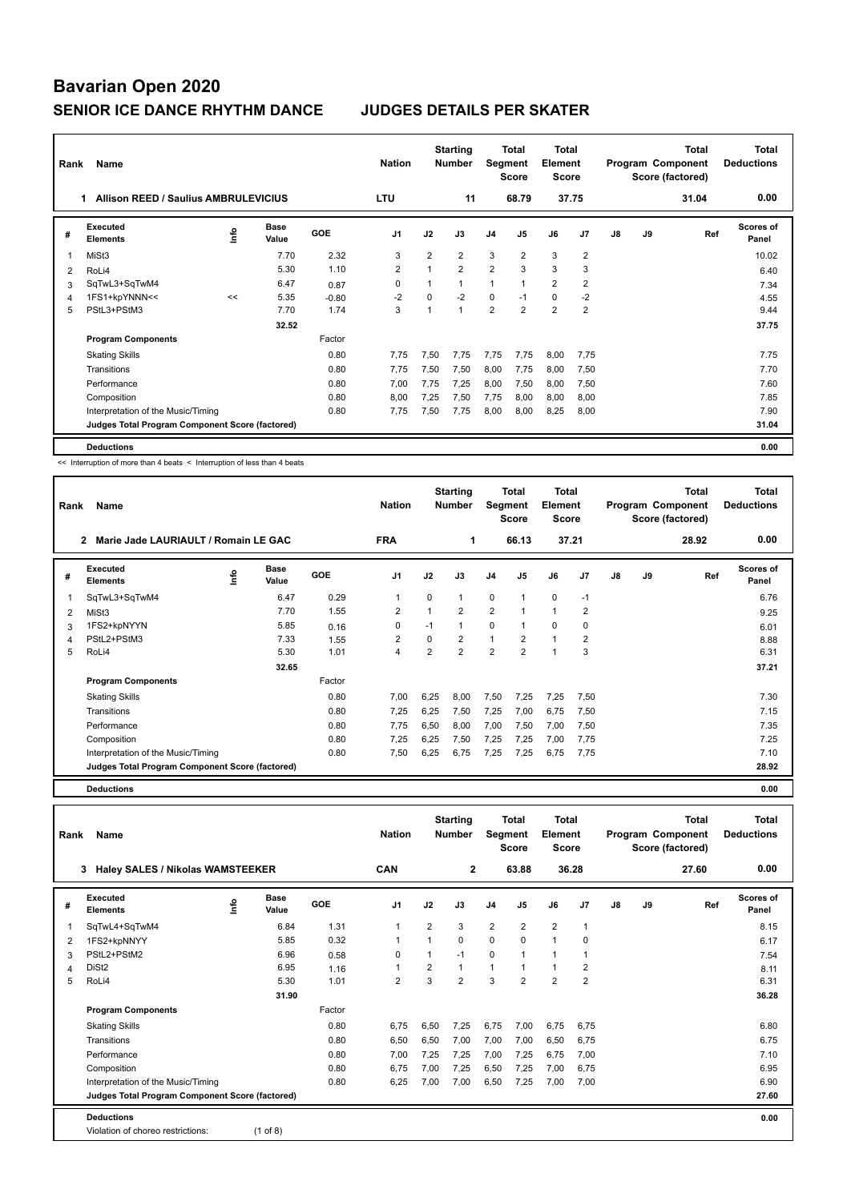| Rank                    | Name                                             |      |                      |         | <b>Nation</b>  |                | <b>Starting</b><br><b>Number</b> | Segment        | <b>Total</b><br><b>Score</b> | <b>Total</b><br>Element<br><b>Score</b> |                |               |      | <b>Total</b><br>Program Component<br>Score (factored) | <b>Total</b><br><b>Deductions</b> |
|-------------------------|--------------------------------------------------|------|----------------------|---------|----------------|----------------|----------------------------------|----------------|------------------------------|-----------------------------------------|----------------|---------------|------|-------------------------------------------------------|-----------------------------------|
|                         | <b>Allison REED / Saulius AMBRULEVICIUS</b><br>1 |      | <b>LTU</b>           |         | 11             |                | 68.79                            |                | 37.75                        |                                         |                | 31.04         | 0.00 |                                                       |                                   |
| #                       | Executed<br><b>Elements</b>                      | ١nf٥ | <b>Base</b><br>Value | GOE     | J <sub>1</sub> | J2             | J3                               | J <sub>4</sub> | J5                           | J6                                      | J7             | $\mathsf{J}8$ | J9   | Ref                                                   | <b>Scores of</b><br>Panel         |
| $\overline{\mathbf{1}}$ | MiSt <sub>3</sub>                                |      | 7.70                 | 2.32    | 3              | $\overline{2}$ | $\overline{2}$                   | 3              | 2                            | 3                                       | $\overline{2}$ |               |      |                                                       | 10.02                             |
| 2                       | RoLi4                                            |      | 5.30                 | 1.10    | 2              |                | $\overline{2}$                   | $\overline{2}$ | 3                            | 3                                       | 3              |               |      |                                                       | 6.40                              |
| 3                       | SqTwL3+SqTwM4                                    |      | 6.47                 | 0.87    | 0              |                | 1                                | $\overline{1}$ |                              | $\overline{2}$                          | $\overline{2}$ |               |      |                                                       | 7.34                              |
| $\overline{4}$          | 1FS1+kpYNNN<<                                    | <<   | 5.35                 | $-0.80$ | $-2$           | $\Omega$       | $-2$                             | $\Omega$       | $-1$                         | $\mathbf 0$                             | $-2$           |               |      |                                                       | 4.55                              |
| 5                       | PStL3+PStM3                                      |      | 7.70                 | 1.74    | 3              |                | $\mathbf{1}$                     | $\overline{2}$ | $\overline{2}$               | $\overline{2}$                          | $\overline{2}$ |               |      |                                                       | 9.44                              |
|                         |                                                  |      | 32.52                |         |                |                |                                  |                |                              |                                         |                |               |      |                                                       | 37.75                             |
|                         | <b>Program Components</b>                        |      |                      | Factor  |                |                |                                  |                |                              |                                         |                |               |      |                                                       |                                   |
|                         | <b>Skating Skills</b>                            |      |                      | 0.80    | 7,75           | 7,50           | 7.75                             | 7,75           | 7,75                         | 8,00                                    | 7,75           |               |      |                                                       | 7.75                              |
|                         | Transitions                                      |      |                      | 0.80    | 7.75           | 7,50           | 7,50                             | 8,00           | 7,75                         | 8,00                                    | 7,50           |               |      |                                                       | 7.70                              |
|                         | Performance                                      |      |                      | 0.80    | 7,00           | 7,75           | 7,25                             | 8,00           | 7,50                         | 8,00                                    | 7,50           |               |      |                                                       | 7.60                              |
|                         | Composition                                      |      |                      | 0.80    | 8,00           | 7,25           | 7.50                             | 7,75           | 8.00                         | 8.00                                    | 8,00           |               |      |                                                       | 7.85                              |
|                         | Interpretation of the Music/Timing               |      |                      | 0.80    | 7,75           | 7,50           | 7,75                             | 8,00           | 8,00                         | 8,25                                    | 8,00           |               |      |                                                       | 7.90                              |
|                         | Judges Total Program Component Score (factored)  |      |                      |         |                |                |                                  |                |                              |                                         |                |               |      |                                                       | 31.04                             |
|                         | <b>Deductions</b>                                |      |                      |         |                |                |                                  |                |                              |                                         |                |               |      |                                                       | 0.00                              |

<< Interruption of more than 4 beats < Interruption of less than 4 beats

| Rank | Name                                                 |      |               |        | <b>Nation</b>  |                | <b>Starting</b><br><b>Number</b> | Segment        | Total<br><b>Score</b> | <b>Total</b><br>Element<br><b>Score</b> |      |    |    | Total<br>Program Component<br>Score (factored) | <b>Total</b><br><b>Deductions</b> |
|------|------------------------------------------------------|------|---------------|--------|----------------|----------------|----------------------------------|----------------|-----------------------|-----------------------------------------|------|----|----|------------------------------------------------|-----------------------------------|
|      | Marie Jade LAURIAULT / Romain LE GAC<br>$\mathbf{2}$ |      |               |        | <b>FRA</b>     |                | 1                                |                | 66.13                 | 37.21                                   |      |    |    | 28.92                                          | 0.00                              |
| #    | Executed<br><b>Elements</b>                          | lnfo | Base<br>Value | GOE    | J <sub>1</sub> | J2             | J3                               | J <sub>4</sub> | J <sub>5</sub>        | J6                                      | J7   | J8 | J9 | Ref                                            | Scores of<br>Panel                |
| 1    | SqTwL3+SqTwM4                                        |      | 6.47          | 0.29   | 1              | 0              | $\mathbf{1}$                     | $\mathbf 0$    | 1                     | $\mathbf 0$                             | $-1$ |    |    |                                                | 6.76                              |
| 2    | MiSt <sub>3</sub>                                    |      | 7.70          | 1.55   | 2              |                | $\overline{2}$                   | $\overline{2}$ | 1                     | $\overline{1}$                          | 2    |    |    |                                                | 9.25                              |
| 3    | 1FS2+kpNYYN                                          |      | 5.85          | 0.16   | 0              | $-1$           | 1                                | 0              | 1                     | $\mathbf 0$                             | 0    |    |    |                                                | 6.01                              |
| 4    | PStL2+PStM3                                          |      | 7.33          | 1.55   | 2              | 0              | 2                                | $\mathbf{1}$   | 2                     | $\mathbf{1}$                            | 2    |    |    |                                                | 8.88                              |
| 5    | RoLi4                                                |      | 5.30          | 1.01   | 4              | $\overline{2}$ | $\overline{2}$                   | $\overline{2}$ | $\overline{2}$        | $\overline{1}$                          | 3    |    |    |                                                | 6.31                              |
|      |                                                      |      | 32.65         |        |                |                |                                  |                |                       |                                         |      |    |    |                                                | 37.21                             |
|      | <b>Program Components</b>                            |      |               | Factor |                |                |                                  |                |                       |                                         |      |    |    |                                                |                                   |
|      | <b>Skating Skills</b>                                |      |               | 0.80   | 7,00           | 6,25           | 8,00                             | 7,50           | 7,25                  | 7,25                                    | 7,50 |    |    |                                                | 7.30                              |
|      | Transitions                                          |      |               | 0.80   | 7,25           | 6,25           | 7,50                             | 7,25           | 7,00                  | 6,75                                    | 7,50 |    |    |                                                | 7.15                              |
|      | Performance                                          |      |               | 0.80   | 7,75           | 6,50           | 8,00                             | 7,00           | 7,50                  | 7,00                                    | 7,50 |    |    |                                                | 7.35                              |
|      | Composition                                          |      |               | 0.80   | 7,25           | 6,25           | 7,50                             | 7,25           | 7,25                  | 7,00                                    | 7,75 |    |    |                                                | 7.25                              |
|      | Interpretation of the Music/Timing                   |      |               | 0.80   | 7,50           | 6,25           | 6,75                             | 7,25           | 7,25                  | 6,75                                    | 7,75 |    |    |                                                | 7.10                              |
|      | Judges Total Program Component Score (factored)      |      |               |        |                |                |                                  |                |                       |                                         |      |    |    |                                                | 28.92                             |

**Deductions 0.00**

| Rank | Name                                            |            |                      |        | <b>Nation</b>  |                | <b>Starting</b><br><b>Number</b> |                | <b>Total</b><br>Segment<br><b>Score</b> | <b>Total</b><br>Element<br><b>Score</b> |                |    |    | <b>Total</b><br>Program Component<br>Score (factored) | <b>Total</b><br><b>Deductions</b> |
|------|-------------------------------------------------|------------|----------------------|--------|----------------|----------------|----------------------------------|----------------|-----------------------------------------|-----------------------------------------|----------------|----|----|-------------------------------------------------------|-----------------------------------|
|      | <b>Haley SALES / Nikolas WAMSTEEKER</b><br>3    |            |                      |        | <b>CAN</b>     |                | $\overline{2}$                   |                | 63.88                                   | 36.28                                   |                |    |    | 27.60                                                 | 0.00                              |
| #    | Executed<br><b>Elements</b>                     | <u>f</u> o | <b>Base</b><br>Value | GOE    | J <sub>1</sub> | J2             | J3                               | J <sub>4</sub> | J5                                      | J6                                      | J7             | J8 | J9 | Ref                                                   | Scores of<br>Panel                |
| 1    | SqTwL4+SqTwM4                                   |            | 6.84                 | 1.31   |                | $\overline{2}$ | 3                                | $\overline{2}$ | $\overline{2}$                          | $\overline{2}$                          | 1              |    |    |                                                       | 8.15                              |
| 2    | 1FS2+kpNNYY                                     |            | 5.85                 | 0.32   |                | 1              | $\Omega$                         | $\mathbf 0$    | $\Omega$                                | $\overline{1}$                          | 0              |    |    |                                                       | 6.17                              |
| 3    | PStL2+PStM2                                     |            | 6.96                 | 0.58   | 0              | $\mathbf{1}$   | $-1$                             | $\mathbf 0$    | $\mathbf{1}$                            | 1                                       | 1              |    |    |                                                       | 7.54                              |
| 4    | DiSt <sub>2</sub>                               |            | 6.95                 | 1.16   |                | $\overline{2}$ | $\mathbf{1}$                     | $\mathbf{1}$   | 1                                       | 1                                       | 2              |    |    |                                                       | 8.11                              |
| 5    | RoLi4                                           |            | 5.30                 | 1.01   | $\overline{2}$ | 3              | $\overline{2}$                   | 3              | $\overline{2}$                          | $\overline{2}$                          | $\overline{2}$ |    |    |                                                       | 6.31                              |
|      |                                                 |            | 31.90                |        |                |                |                                  |                |                                         |                                         |                |    |    |                                                       | 36.28                             |
|      | <b>Program Components</b>                       |            |                      | Factor |                |                |                                  |                |                                         |                                         |                |    |    |                                                       |                                   |
|      | <b>Skating Skills</b>                           |            |                      | 0.80   | 6.75           | 6,50           | 7.25                             | 6,75           | 7,00                                    | 6,75                                    | 6.75           |    |    |                                                       | 6.80                              |
|      | Transitions                                     |            |                      | 0.80   | 6,50           | 6,50           | 7,00                             | 7,00           | 7,00                                    | 6,50                                    | 6,75           |    |    |                                                       | 6.75                              |
|      | Performance                                     |            |                      | 0.80   | 7,00           | 7,25           | 7,25                             | 7,00           | 7,25                                    | 6,75                                    | 7,00           |    |    |                                                       | 7.10                              |
|      | Composition                                     |            |                      | 0.80   | 6,75           | 7,00           | 7,25                             | 6,50           | 7,25                                    | 7,00                                    | 6,75           |    |    |                                                       | 6.95                              |
|      | Interpretation of the Music/Timing              |            |                      | 0.80   | 6,25           | 7,00           | 7,00                             | 6,50           | 7,25                                    | 7,00                                    | 7,00           |    |    |                                                       | 6.90                              |
|      | Judges Total Program Component Score (factored) |            |                      |        |                |                |                                  |                |                                         |                                         |                |    |    |                                                       | 27.60                             |
|      | <b>Deductions</b>                               |            |                      |        |                |                |                                  |                |                                         |                                         |                |    |    |                                                       | 0.00                              |
|      | Violation of choreo restrictions:               |            | $(1$ of 8)           |        |                |                |                                  |                |                                         |                                         |                |    |    |                                                       |                                   |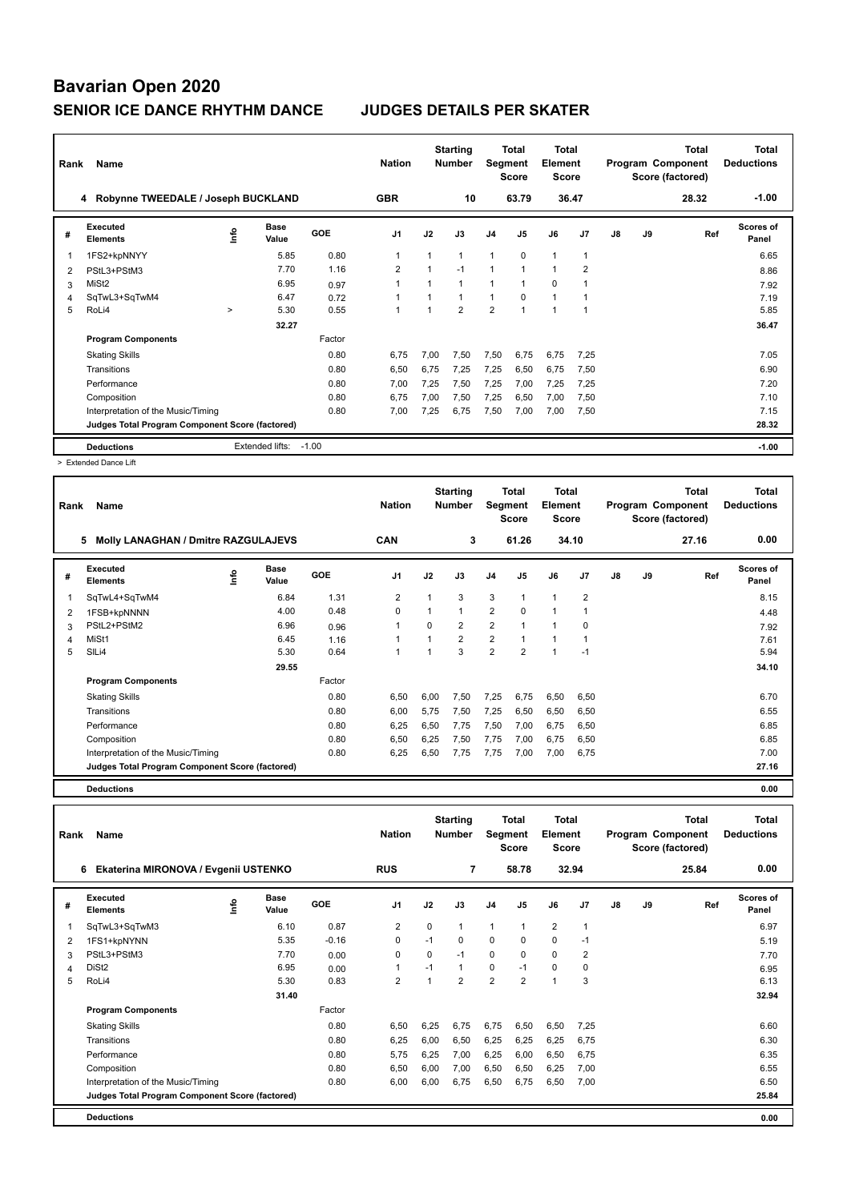| Rank           | Name<br>4 Robynne TWEEDALE / Joseph BUCKLAND    |        |                      |         | <b>Nation</b><br><b>GBR</b> |                | <b>Starting</b><br><b>Number</b><br>10 | Segment        | Total<br><b>Score</b><br>63.79 | <b>Total</b><br>Element<br><b>Score</b><br>36.47 |                |    |    | <b>Total</b><br>Program Component<br>Score (factored)<br>28.32 | <b>Total</b><br><b>Deductions</b><br>$-1.00$ |
|----------------|-------------------------------------------------|--------|----------------------|---------|-----------------------------|----------------|----------------------------------------|----------------|--------------------------------|--------------------------------------------------|----------------|----|----|----------------------------------------------------------------|----------------------------------------------|
|                |                                                 |        |                      |         |                             |                |                                        |                |                                |                                                  |                |    |    |                                                                |                                              |
| #              | Executed<br><b>Elements</b>                     | lnfo   | <b>Base</b><br>Value | GOE     | J <sub>1</sub>              | J2             | J3                                     | J <sub>4</sub> | J5                             | J6                                               | J7             | J8 | J9 | Ref                                                            | <b>Scores of</b><br>Panel                    |
| 1              | 1FS2+kpNNYY                                     |        | 5.85                 | 0.80    | -1                          | 1              |                                        | 1              | $\Omega$                       | $\mathbf{1}$                                     | 1              |    |    |                                                                | 6.65                                         |
| $\overline{2}$ | PStL3+PStM3                                     |        | 7.70                 | 1.16    | $\overline{2}$              | $\overline{1}$ | $-1$                                   | $\overline{1}$ | $\overline{ }$                 | 1                                                | $\overline{2}$ |    |    |                                                                | 8.86                                         |
| 3              | MiSt <sub>2</sub>                               |        | 6.95                 | 0.97    |                             | 1              |                                        | 1              | $\mathbf 1$                    | 0                                                |                |    |    |                                                                | 7.92                                         |
| 4              | SqTwL3+SqTwM4                                   |        | 6.47                 | 0.72    |                             |                |                                        | $\overline{1}$ | $\Omega$                       | $\mathbf{1}$                                     |                |    |    |                                                                | 7.19                                         |
| 5              | RoLi4                                           | $\geq$ | 5.30                 | 0.55    |                             |                | $\overline{2}$                         | $\overline{2}$ |                                | 1                                                |                |    |    |                                                                | 5.85                                         |
|                |                                                 |        | 32.27                |         |                             |                |                                        |                |                                |                                                  |                |    |    |                                                                | 36.47                                        |
|                | <b>Program Components</b>                       |        |                      | Factor  |                             |                |                                        |                |                                |                                                  |                |    |    |                                                                |                                              |
|                | <b>Skating Skills</b>                           |        |                      | 0.80    | 6.75                        | 7,00           | 7.50                                   | 7,50           | 6,75                           | 6,75                                             | 7,25           |    |    |                                                                | 7.05                                         |
|                | Transitions                                     |        |                      | 0.80    | 6,50                        | 6.75           | 7.25                                   | 7,25           | 6,50                           | 6,75                                             | 7,50           |    |    |                                                                | 6.90                                         |
|                | Performance                                     |        |                      | 0.80    | 7,00                        | 7,25           | 7,50                                   | 7,25           | 7.00                           | 7,25                                             | 7,25           |    |    |                                                                | 7.20                                         |
|                | Composition                                     |        |                      | 0.80    | 6,75                        | 7,00           | 7,50                                   | 7,25           | 6,50                           | 7,00                                             | 7,50           |    |    |                                                                | 7.10                                         |
|                | Interpretation of the Music/Timing              |        |                      | 0.80    | 7.00                        | 7,25           | 6.75                                   | 7,50           | 7,00                           | 7.00                                             | 7,50           |    |    |                                                                | 7.15                                         |
|                | Judges Total Program Component Score (factored) |        |                      |         |                             |                |                                        |                |                                |                                                  |                |    |    |                                                                | 28.32                                        |
|                | <b>Deductions</b>                               |        | Extended lifts:      | $-1.00$ |                             |                |                                        |                |                                |                                                  |                |    |    |                                                                | $-1.00$                                      |

> Extended Dance Lift

| Rank | Name                                            |    |                      |        | <b>Nation</b>  |          | <b>Starting</b><br><b>Number</b> | Segment        | <b>Total</b><br><b>Score</b> | Total<br>Element<br><b>Score</b> |                |       |      | <b>Total</b><br>Program Component<br>Score (factored) | <b>Total</b><br><b>Deductions</b> |
|------|-------------------------------------------------|----|----------------------|--------|----------------|----------|----------------------------------|----------------|------------------------------|----------------------------------|----------------|-------|------|-------------------------------------------------------|-----------------------------------|
|      | 5<br>Molly LANAGHAN / Dmitre RAZGULAJEVS        |    | <b>CAN</b>           |        | 3              |          | 61.26                            |                | 34.10                        |                                  |                | 27.16 | 0.00 |                                                       |                                   |
| #    | Executed<br><b>Elements</b>                     | ١m | <b>Base</b><br>Value | GOE    | J <sub>1</sub> | J2       | J3                               | J <sub>4</sub> | J5                           | J6                               | J <sub>7</sub> | J8    | J9   | Ref                                                   | Scores of<br>Panel                |
|      | SqTwL4+SqTwM4                                   |    | 6.84                 | 1.31   | $\overline{2}$ |          | 3                                | 3              |                              | $\overline{1}$                   | $\overline{2}$ |       |      |                                                       | 8.15                              |
| 2    | 1FSB+kpNNNN                                     |    | 4.00                 | 0.48   | 0              |          | 1                                | $\overline{2}$ | 0                            | 1                                | 1              |       |      |                                                       | 4.48                              |
| 3    | PStL2+PStM2                                     |    | 6.96                 | 0.96   | -1             | $\Omega$ | 2                                | $\overline{2}$ |                              | $\overline{1}$                   | 0              |       |      |                                                       | 7.92                              |
| 4    | MiSt1                                           |    | 6.45                 | 1.16   | 1              |          | $\overline{2}$                   | $\overline{2}$ |                              | $\overline{1}$                   | 1              |       |      |                                                       | 7.61                              |
| 5    | SILi4                                           |    | 5.30                 | 0.64   | -1             |          | 3                                | $\overline{2}$ | $\overline{2}$               | 1                                | $-1$           |       |      |                                                       | 5.94                              |
|      |                                                 |    | 29.55                |        |                |          |                                  |                |                              |                                  |                |       |      |                                                       | 34.10                             |
|      | <b>Program Components</b>                       |    |                      | Factor |                |          |                                  |                |                              |                                  |                |       |      |                                                       |                                   |
|      | <b>Skating Skills</b>                           |    |                      | 0.80   | 6,50           | 6,00     | 7,50                             | 7,25           | 6,75                         | 6,50                             | 6,50           |       |      |                                                       | 6.70                              |
|      | Transitions                                     |    |                      | 0.80   | 6,00           | 5.75     | 7,50                             | 7,25           | 6,50                         | 6,50                             | 6,50           |       |      |                                                       | 6.55                              |
|      | Performance                                     |    |                      | 0.80   | 6,25           | 6,50     | 7.75                             | 7,50           | 7,00                         | 6,75                             | 6,50           |       |      |                                                       | 6.85                              |
|      | Composition                                     |    |                      | 0.80   | 6,50           | 6,25     | 7,50                             | 7,75           | 7,00                         | 6,75                             | 6,50           |       |      |                                                       | 6.85                              |
|      | Interpretation of the Music/Timing              |    |                      | 0.80   | 6,25           | 6,50     | 7.75                             | 7,75           | 7,00                         | 7,00                             | 6,75           |       |      |                                                       | 7.00                              |
|      | Judges Total Program Component Score (factored) |    |                      |        |                |          |                                  |                |                              |                                  |                |       |      |                                                       | 27.16                             |
|      |                                                 |    |                      |        |                |          |                                  |                |                              |                                  |                |       |      |                                                       |                                   |

**Deductions 0.00**

| Rank | Name                                            |      |                      |         | <b>Nation</b>  |          | <b>Starting</b><br><b>Number</b> | Segment        | <b>Total</b><br><b>Score</b> | <b>Total</b><br>Element<br><b>Score</b> |                |    |    | <b>Total</b><br>Program Component<br>Score (factored) | <b>Total</b><br><b>Deductions</b> |
|------|-------------------------------------------------|------|----------------------|---------|----------------|----------|----------------------------------|----------------|------------------------------|-----------------------------------------|----------------|----|----|-------------------------------------------------------|-----------------------------------|
|      | Ekaterina MIRONOVA / Evgenii USTENKO<br>6       |      |                      |         | <b>RUS</b>     |          | $\overline{7}$                   |                | 58.78                        |                                         | 32.94          |    |    | 25.84                                                 | 0.00                              |
| #    | Executed<br><b>Elements</b>                     | lnfo | <b>Base</b><br>Value | GOE     | J <sub>1</sub> | J2       | J3                               | J <sub>4</sub> | J5                           | J6                                      | J7             | J8 | J9 | Ref                                                   | <b>Scores of</b><br>Panel         |
| 1    | SqTwL3+SqTwM3                                   |      | 6.10                 | 0.87    | $\overline{2}$ | 0        | 1                                | $\mathbf{1}$   | $\mathbf{1}$                 | $\overline{2}$                          | 1              |    |    |                                                       | 6.97                              |
| 2    | 1FS1+kpNYNN                                     |      | 5.35                 | $-0.16$ | 0              | $-1$     | $\Omega$                         | $\mathbf 0$    | $\Omega$                     | $\Omega$                                | $-1$           |    |    |                                                       | 5.19                              |
| 3    | PStL3+PStM3                                     |      | 7.70                 | 0.00    | $\Omega$       | $\Omega$ | $-1$                             | $\mathbf 0$    | $\Omega$                     | $\Omega$                                | $\overline{2}$ |    |    |                                                       | 7.70                              |
| 4    | DiSt <sub>2</sub>                               |      | 6.95                 | 0.00    |                | $-1$     | $\mathbf{1}$                     | $\pmb{0}$      | $-1$                         | $\mathbf 0$                             | 0              |    |    |                                                       | 6.95                              |
| 5    | RoLi4                                           |      | 5.30                 | 0.83    | $\overline{2}$ | 1        | $\overline{2}$                   | $\overline{2}$ | $\overline{2}$               | $\overline{1}$                          | 3              |    |    |                                                       | 6.13                              |
|      |                                                 |      | 31.40                |         |                |          |                                  |                |                              |                                         |                |    |    |                                                       | 32.94                             |
|      | <b>Program Components</b>                       |      |                      | Factor  |                |          |                                  |                |                              |                                         |                |    |    |                                                       |                                   |
|      | <b>Skating Skills</b>                           |      |                      | 0.80    | 6.50           | 6,25     | 6,75                             | 6,75           | 6,50                         | 6,50                                    | 7.25           |    |    |                                                       | 6.60                              |
|      | Transitions                                     |      |                      | 0.80    | 6,25           | 6,00     | 6,50                             | 6,25           | 6,25                         | 6,25                                    | 6.75           |    |    |                                                       | 6.30                              |
|      | Performance                                     |      |                      | 0.80    | 5.75           | 6,25     | 7,00                             | 6,25           | 6,00                         | 6,50                                    | 6,75           |    |    |                                                       | 6.35                              |
|      | Composition                                     |      |                      | 0.80    | 6,50           | 6,00     | 7,00                             | 6,50           | 6,50                         | 6,25                                    | 7,00           |    |    |                                                       | 6.55                              |
|      | Interpretation of the Music/Timing              |      |                      | 0.80    | 6.00           | 6,00     | 6,75                             | 6,50           | 6.75                         | 6,50                                    | 7,00           |    |    |                                                       | 6.50                              |
|      | Judges Total Program Component Score (factored) |      |                      |         |                |          |                                  |                |                              |                                         |                |    |    |                                                       | 25.84                             |
|      | <b>Deductions</b>                               |      |                      |         |                |          |                                  |                |                              |                                         |                |    |    |                                                       | 0.00                              |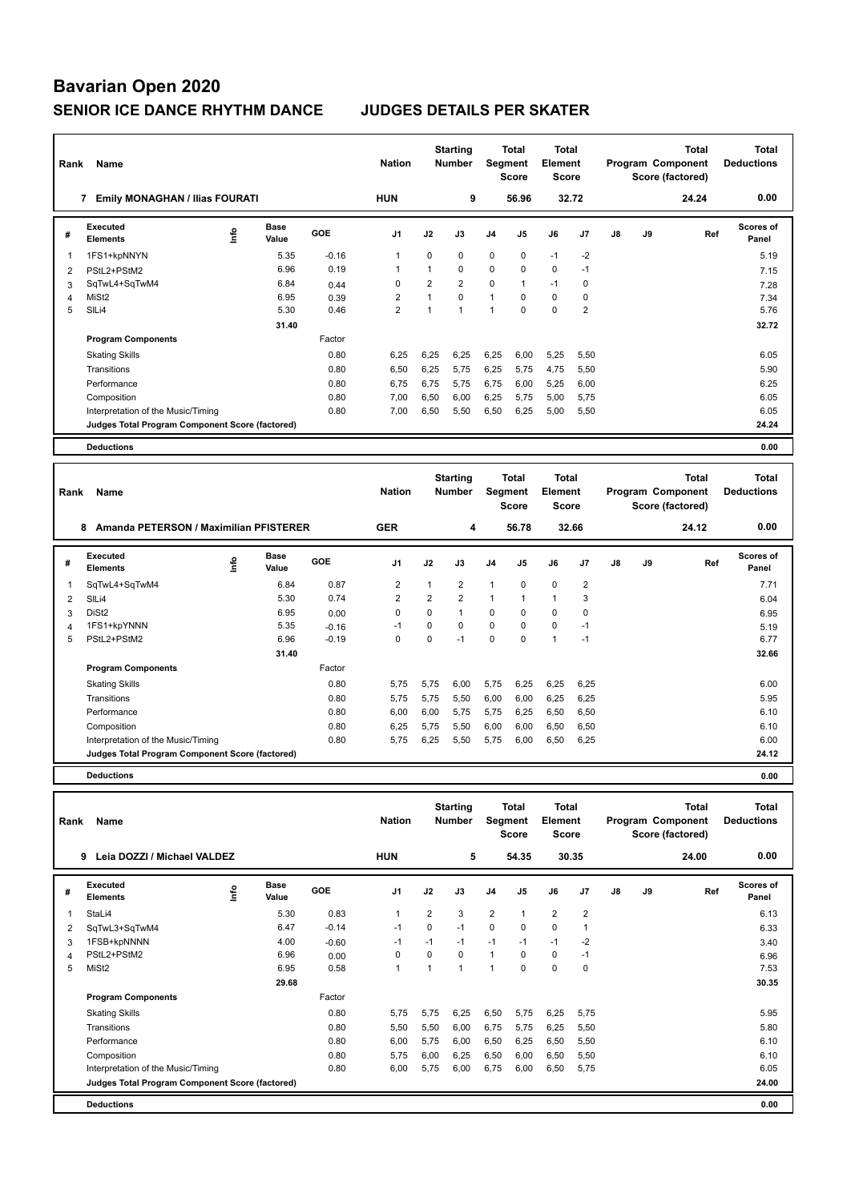| Rank           | Name                                              |      |                      |                 | <b>Nation</b>  |                | <b>Starting</b><br><b>Number</b> | Segment        | Total<br><b>Score</b>        | Total<br>Element<br><b>Score</b>               |                |    |    | Total<br>Program Component<br>Score (factored)        | Total<br><b>Deductions</b>        |
|----------------|---------------------------------------------------|------|----------------------|-----------------|----------------|----------------|----------------------------------|----------------|------------------------------|------------------------------------------------|----------------|----|----|-------------------------------------------------------|-----------------------------------|
|                | 7 Emily MONAGHAN / Ilias FOURATI                  |      |                      |                 | <b>HUN</b>     |                | 9                                |                | 56.96                        | 32.72                                          |                |    |    | 24.24                                                 | 0.00                              |
| #              | Executed<br><b>Elements</b>                       | ۴ů   | <b>Base</b><br>Value | GOE             | J <sub>1</sub> | J2             | J3                               | J4             | J5                           | J6                                             | J7             | J8 | J9 | Ref                                                   | Scores of<br>Panel                |
| $\mathbf{1}$   | 1FS1+kpNNYN                                       |      | 5.35                 | $-0.16$         | $\mathbf{1}$   | $\mathbf 0$    | 0                                | $\mathbf 0$    | $\mathbf 0$                  | $-1$                                           | $-2$           |    |    |                                                       | 5.19                              |
| $\overline{2}$ | PStL2+PStM2                                       |      | 6.96                 | 0.19            | $\mathbf{1}$   | $\mathbf{1}$   | 0                                | $\Omega$       | $\Omega$                     | 0                                              | $-1$           |    |    |                                                       | 7.15                              |
| 3              | SqTwL4+SqTwM4                                     |      | 6.84                 | 0.44            | $\mathbf 0$    | $\overline{2}$ | $\overline{2}$                   | $\mathbf 0$    | $\mathbf{1}$                 | $-1$                                           | $\mathbf 0$    |    |    |                                                       | 7.28                              |
| 4              | MiSt <sub>2</sub>                                 |      | 6.95                 | 0.39            | $\overline{2}$ | $\mathbf{1}$   | $\Omega$                         | $\mathbf{1}$   | $\mathbf 0$                  | 0                                              | $\mathbf 0$    |    |    |                                                       | 7.34                              |
| 5              | SILi4                                             |      | 5.30                 | 0.46            | $\overline{2}$ | $\mathbf{1}$   | $\mathbf{1}$                     | $\mathbf{1}$   | $\Omega$                     | 0                                              | $\overline{2}$ |    |    |                                                       | 5.76                              |
|                |                                                   |      | 31.40                |                 |                |                |                                  |                |                              |                                                |                |    |    |                                                       | 32.72                             |
|                | <b>Program Components</b>                         |      |                      | Factor          |                |                |                                  |                |                              |                                                |                |    |    |                                                       |                                   |
|                | <b>Skating Skills</b>                             |      |                      | 0.80            | 6,25           | 6,25           | 6,25                             | 6,25           | 6,00                         | 5,25                                           | 5,50           |    |    |                                                       | 6.05                              |
|                | Transitions                                       |      |                      | 0.80            | 6,50           | 6,25           | 5,75                             | 6,25           | 5,75                         | 4,75                                           | 5,50           |    |    |                                                       | 5.90                              |
|                | Performance                                       |      |                      | 0.80            | 6,75           | 6,75           | 5,75                             | 6,75           | 6,00                         | 5,25                                           | 6,00           |    |    |                                                       | 6.25                              |
|                | Composition                                       |      |                      | 0.80            | 7,00           | 6,50           | 6,00                             | 6,25           | 5,75                         | 5,00                                           | 5,75           |    |    |                                                       | 6.05                              |
|                | Interpretation of the Music/Timing                |      |                      | 0.80            | 7,00           | 6,50           | 5,50                             | 6,50           | 6,25                         | 5,00                                           | 5,50           |    |    |                                                       | 6.05                              |
|                | Judges Total Program Component Score (factored)   |      |                      |                 |                |                |                                  |                |                              |                                                |                |    |    |                                                       | 24.24                             |
|                | <b>Deductions</b>                                 |      |                      |                 |                |                |                                  |                |                              |                                                |                |    |    |                                                       | 0.00                              |
|                |                                                   |      |                      |                 |                |                |                                  |                |                              |                                                |                |    |    |                                                       |                                   |
|                |                                                   |      |                      |                 |                |                |                                  |                |                              |                                                |                |    |    |                                                       |                                   |
| Rank           | Name                                              |      |                      |                 | <b>Nation</b>  |                | <b>Starting</b><br><b>Number</b> | Segment        | <b>Total</b><br><b>Score</b> | <b>Total</b><br><b>Element</b><br><b>Score</b> |                |    |    | <b>Total</b><br>Program Component<br>Score (factored) | <b>Total</b><br><b>Deductions</b> |
|                | 8 Amanda PETERSON / Maximilian PFISTERER          |      |                      |                 | <b>GER</b>     |                | 4                                |                | 56.78                        | 32.66                                          |                |    |    | 24.12                                                 | 0.00                              |
| #              | Executed<br><b>Elements</b>                       | lnfo | Base<br>Value        | GOE             | J <sub>1</sub> | J2             | J3                               | J <sub>4</sub> | J5                           | J6                                             | J7             | J8 | J9 | Ref                                                   | <b>Scores of</b><br>Panel         |
| $\mathbf{1}$   | SqTwL4+SqTwM4                                     |      | 6.84                 | 0.87            | $\overline{2}$ | $\mathbf{1}$   | $\overline{2}$                   | $\mathbf{1}$   | 0                            | 0                                              | $\overline{2}$ |    |    |                                                       | 7.71                              |
| $\overline{2}$ | SILi4                                             |      | 5.30                 | 0.74            | $\overline{2}$ | $\overline{2}$ | $\overline{2}$                   | $\mathbf{1}$   | 1                            | 1                                              | 3              |    |    |                                                       | 6.04                              |
|                | DiSt <sub>2</sub>                                 |      | 6.95                 |                 | $\Omega$       | $\Omega$       | $\mathbf{1}$                     | $\mathbf 0$    | $\Omega$                     | $\Omega$                                       | $\mathbf 0$    |    |    |                                                       |                                   |
| 3<br>4         | 1FS1+kpYNNN                                       |      | 5.35                 | 0.00<br>$-0.16$ | $-1$           | $\mathbf 0$    | 0                                | $\mathbf 0$    | $\mathbf 0$                  | 0                                              | $-1$           |    |    |                                                       | 6.95<br>5.19                      |
| 5              | PStL2+PStM2                                       |      | 6.96                 | $-0.19$         | $\mathbf 0$    | $\mathbf 0$    | $-1$                             | $\mathbf 0$    | $\mathbf 0$                  | 1                                              | $-1$           |    |    |                                                       | 6.77                              |
|                |                                                   |      | 31.40                |                 |                |                |                                  |                |                              |                                                |                |    |    |                                                       | 32.66                             |
|                | <b>Program Components</b>                         |      |                      | Factor          |                |                |                                  |                |                              |                                                |                |    |    |                                                       |                                   |
|                |                                                   |      |                      |                 |                |                |                                  |                |                              |                                                |                |    |    |                                                       |                                   |
|                | <b>Skating Skills</b><br>Transitions              |      |                      | 0.80            | 5,75           | 5,75           | 6,00                             | 5,75           | 6,25                         | 6,25                                           | 6,25           |    |    |                                                       | 6.00                              |
|                |                                                   |      |                      | 0.80            | 5,75           | 5,75           | 5,50                             | 6,00           | 6,00                         | 6,25                                           | 6,25           |    |    |                                                       | 5.95                              |
|                | Performance                                       |      |                      | 0.80            | 6,00           | 6,00           | 5,75                             | 5,75           | 6,25                         | 6,50                                           | 6,50           |    |    |                                                       | 6.10                              |
|                | Composition<br>Interpretation of the Music/Timing |      |                      | 0.80<br>0.80    | 6,25<br>5,75   | 5,75<br>6,25   | 5.50<br>5,50                     | 6,00<br>5,75   | 6.00<br>6,00                 | 6,50<br>6,50                                   | 6,50<br>6,25   |    |    |                                                       | 6.10<br>6.00                      |

**Deductions 0.00**

| Rank | Name                                            |    |                      |         | <b>Nation</b>  |                | <b>Starting</b><br><b>Number</b> | Segment        | Total<br><b>Score</b> | <b>Total</b><br>Element<br><b>Score</b> |                |    |    | <b>Total</b><br>Program Component<br>Score (factored) | <b>Total</b><br><b>Deductions</b> |
|------|-------------------------------------------------|----|----------------------|---------|----------------|----------------|----------------------------------|----------------|-----------------------|-----------------------------------------|----------------|----|----|-------------------------------------------------------|-----------------------------------|
|      | Leia DOZZI / Michael VALDEZ<br>9                |    |                      |         | <b>HUN</b>     |                | 5                                |                | 54.35                 |                                         | 30.35          |    |    | 24.00                                                 | 0.00                              |
| #    | Executed<br><b>Elements</b>                     | ١m | <b>Base</b><br>Value | GOE     | J <sub>1</sub> | J2             | J3                               | J <sub>4</sub> | J <sub>5</sub>        | J6                                      | J7             | J8 | J9 | Ref                                                   | Scores of<br>Panel                |
| 1    | StaLi4                                          |    | 5.30                 | 0.83    | 1              | $\overline{2}$ | 3                                | $\overline{2}$ | $\mathbf{1}$          | $\overline{2}$                          | $\overline{2}$ |    |    |                                                       | 6.13                              |
| 2    | SqTwL3+SqTwM4                                   |    | 6.47                 | $-0.14$ | $-1$           | 0              | $-1$                             | $\mathbf 0$    | 0                     | $\mathbf 0$                             | 1              |    |    |                                                       | 6.33                              |
| 3    | 1FSB+kpNNNN                                     |    | 4.00                 | $-0.60$ | $-1$           | $-1$           | $-1$                             | $-1$           | $-1$                  | $-1$                                    | $-2$           |    |    |                                                       | 3.40                              |
| 4    | PStL2+PStM2                                     |    | 6.96                 | 0.00    | $\Omega$       | $\Omega$       | $\Omega$                         | $\overline{1}$ | $\Omega$              | $\Omega$                                | $-1$           |    |    |                                                       | 6.96                              |
| 5    | MiSt <sub>2</sub>                               |    | 6.95                 | 0.58    | $\mathbf{1}$   | 1              | $\mathbf{1}$                     | 1              | $\Omega$              | $\Omega$                                | $\Omega$       |    |    |                                                       | 7.53                              |
|      |                                                 |    | 29.68                |         |                |                |                                  |                |                       |                                         |                |    |    |                                                       | 30.35                             |
|      | <b>Program Components</b>                       |    |                      | Factor  |                |                |                                  |                |                       |                                         |                |    |    |                                                       |                                   |
|      | <b>Skating Skills</b>                           |    |                      | 0.80    | 5.75           | 5,75           | 6,25                             | 6,50           | 5,75                  | 6,25                                    | 5.75           |    |    |                                                       | 5.95                              |
|      | Transitions                                     |    |                      | 0.80    | 5,50           | 5,50           | 6,00                             | 6,75           | 5,75                  | 6,25                                    | 5,50           |    |    |                                                       | 5.80                              |
|      | Performance                                     |    |                      | 0.80    | 6.00           | 5.75           | 6.00                             | 6,50           | 6,25                  | 6,50                                    | 5.50           |    |    |                                                       | 6.10                              |
|      | Composition                                     |    |                      | 0.80    | 5.75           | 6,00           | 6.25                             | 6,50           | 6,00                  | 6,50                                    | 5,50           |    |    |                                                       | 6.10                              |
|      | Interpretation of the Music/Timing              |    |                      | 0.80    | 6,00           | 5,75           | 6,00                             | 6,75           | 6,00                  | 6,50                                    | 5,75           |    |    |                                                       | 6.05                              |
|      | Judges Total Program Component Score (factored) |    |                      |         |                |                |                                  |                |                       |                                         |                |    |    |                                                       | 24.00                             |
|      | <b>Deductions</b>                               |    |                      |         |                |                |                                  |                |                       |                                         |                |    |    |                                                       | 0.00                              |